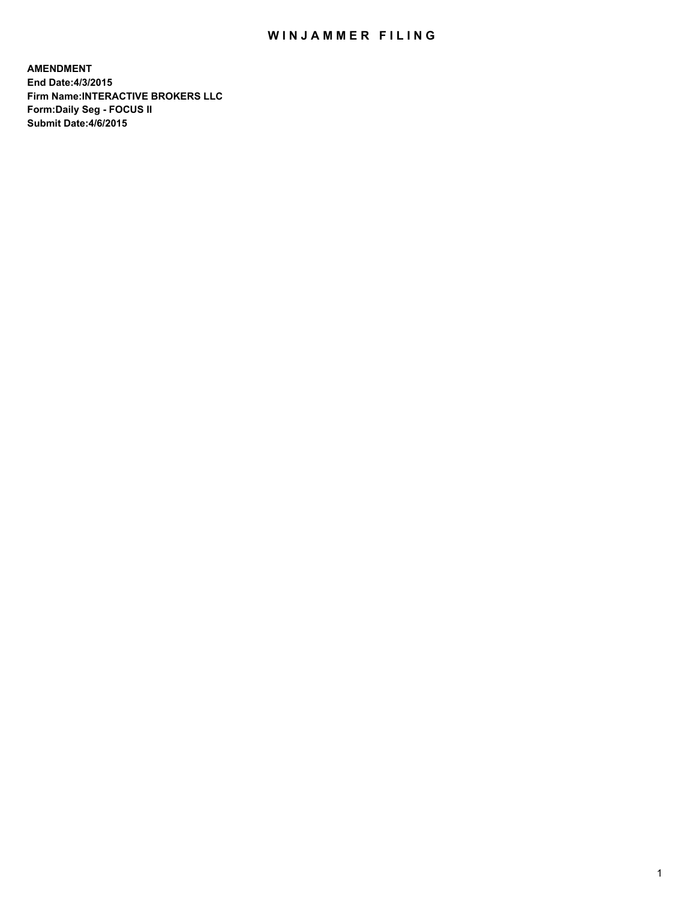# WIN JAMMER FILING

**AMENDMENT End Date:4/3/2015 Firm Name:INTERACTIVE BROKERS LLC Form:Daily Seg - FOCUS II Submit Date:4/6/2015**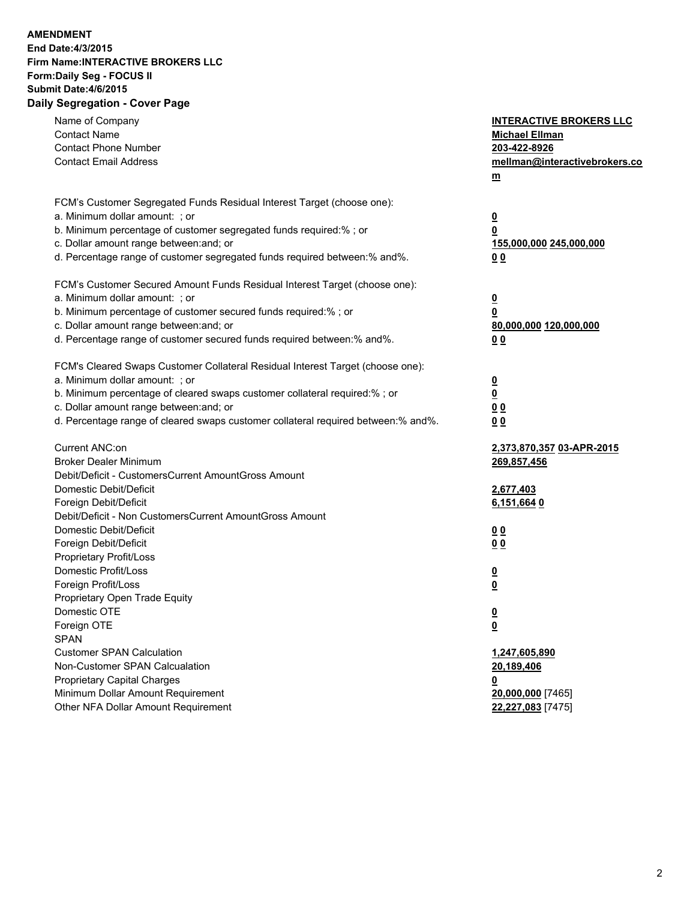## **AMENDMENT End Date:4/3/2015 Firm Name:INTERACTIVE BROKERS LLC Form:Daily Seg - FOCUS II Submit Date:4/6/2015 Daily Segregation - Cover Page**

| Name of Company<br><b>Contact Name</b><br><b>Contact Phone Number</b><br><b>Contact Email Address</b>                                                                                                                                                                                                                          | <b>INTERACTIVE BROKERS LLC</b><br><b>Michael Ellman</b><br>203-422-8926<br>mellman@interactivebrokers.co<br>$m$ |
|--------------------------------------------------------------------------------------------------------------------------------------------------------------------------------------------------------------------------------------------------------------------------------------------------------------------------------|-----------------------------------------------------------------------------------------------------------------|
| FCM's Customer Segregated Funds Residual Interest Target (choose one):<br>a. Minimum dollar amount: ; or<br>b. Minimum percentage of customer segregated funds required:% ; or<br>c. Dollar amount range between: and; or<br>d. Percentage range of customer segregated funds required between:% and%.                         | <u>0</u><br><u>0</u><br>155,000,000 245,000,000<br>0 <sub>0</sub>                                               |
| FCM's Customer Secured Amount Funds Residual Interest Target (choose one):<br>a. Minimum dollar amount: ; or<br>b. Minimum percentage of customer secured funds required:% ; or<br>c. Dollar amount range between: and; or<br>d. Percentage range of customer secured funds required between:% and%.                           | <u>0</u><br><u>0</u><br>80,000,000 120,000,000<br>00                                                            |
| FCM's Cleared Swaps Customer Collateral Residual Interest Target (choose one):<br>a. Minimum dollar amount: ; or<br>b. Minimum percentage of cleared swaps customer collateral required:% ; or<br>c. Dollar amount range between: and; or<br>d. Percentage range of cleared swaps customer collateral required between:% and%. | <u>0</u><br><u>0</u><br>00<br>0 <sub>0</sub>                                                                    |
| Current ANC:on<br><b>Broker Dealer Minimum</b><br>Debit/Deficit - CustomersCurrent AmountGross Amount<br>Domestic Debit/Deficit<br>Foreign Debit/Deficit                                                                                                                                                                       | 2,373,870,357 03-APR-2015<br>269,857,456<br>2,677,403<br>6,151,6640                                             |
| Debit/Deficit - Non CustomersCurrent AmountGross Amount<br>Domestic Debit/Deficit<br>Foreign Debit/Deficit<br>Proprietary Profit/Loss<br>Domestic Profit/Loss<br>Foreign Profit/Loss                                                                                                                                           | 0 <sub>0</sub><br>0 <sub>0</sub><br>$\overline{\mathbf{0}}$<br>$\underline{\mathbf{0}}$                         |
| Proprietary Open Trade Equity<br>Domestic OTE<br>Foreign OTE<br><b>SPAN</b><br><b>Customer SPAN Calculation</b>                                                                                                                                                                                                                | <u>0</u><br><u>0</u><br>1,247,605,890                                                                           |
| Non-Customer SPAN Calcualation<br><b>Proprietary Capital Charges</b><br>Minimum Dollar Amount Requirement<br>Other NFA Dollar Amount Requirement                                                                                                                                                                               | 20,189,406<br><u>0</u><br>20,000,000 [7465]<br>22,227,083 [7475]                                                |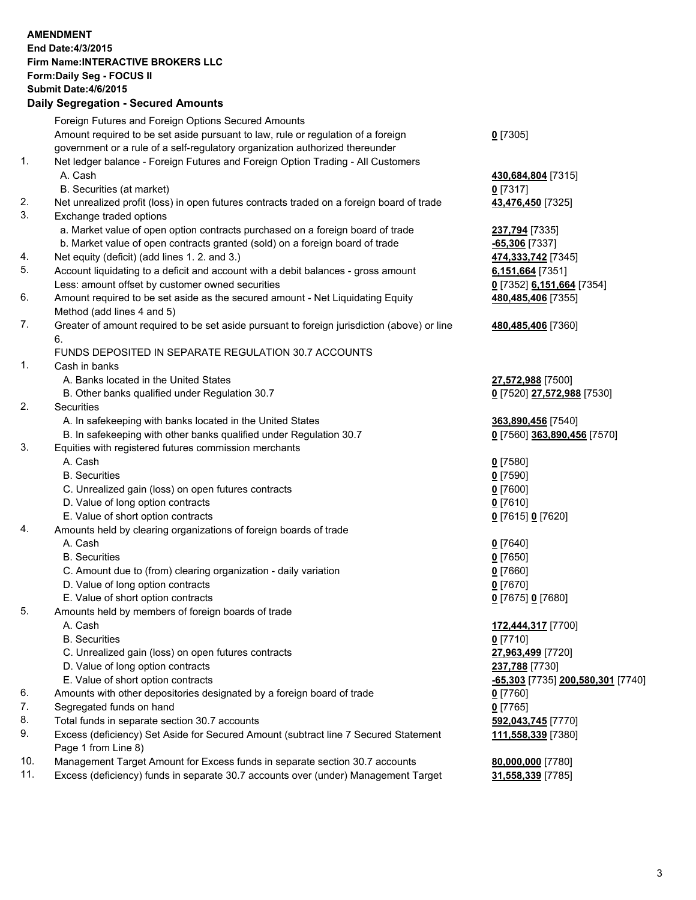## **AMENDMENT End Date:4/3/2015 Firm Name:INTERACTIVE BROKERS LLC Form:Daily Seg - FOCUS II Submit Date:4/6/2015 Daily Segregation - Secured Amounts**

|     | Foreign Futures and Foreign Options Secured Amounts                                                        |                                   |
|-----|------------------------------------------------------------------------------------------------------------|-----------------------------------|
|     | Amount required to be set aside pursuant to law, rule or regulation of a foreign                           | $0$ [7305]                        |
|     | government or a rule of a self-regulatory organization authorized thereunder                               |                                   |
| 1.  | Net ledger balance - Foreign Futures and Foreign Option Trading - All Customers                            |                                   |
|     | A. Cash                                                                                                    | 430,684,804 [7315]                |
|     | B. Securities (at market)                                                                                  | $0$ [7317]                        |
| 2.  | Net unrealized profit (loss) in open futures contracts traded on a foreign board of trade                  | 43,476,450 [7325]                 |
| 3.  | Exchange traded options                                                                                    |                                   |
|     | a. Market value of open option contracts purchased on a foreign board of trade                             | 237,794 [7335]                    |
|     | b. Market value of open contracts granted (sold) on a foreign board of trade                               | $-65,306$ [7337]                  |
| 4.  | Net equity (deficit) (add lines 1.2. and 3.)                                                               | 474,333,742 [7345]                |
| 5.  | Account liquidating to a deficit and account with a debit balances - gross amount                          | 6,151,664 [7351]                  |
|     | Less: amount offset by customer owned securities                                                           | 0 [7352] 6,151,664 [7354]         |
| 6.  | Amount required to be set aside as the secured amount - Net Liquidating Equity                             | 480,485,406 [7355]                |
|     | Method (add lines 4 and 5)                                                                                 |                                   |
| 7.  | Greater of amount required to be set aside pursuant to foreign jurisdiction (above) or line                | 480,485,406 [7360]                |
|     | 6.                                                                                                         |                                   |
|     | FUNDS DEPOSITED IN SEPARATE REGULATION 30.7 ACCOUNTS                                                       |                                   |
| 1.  | Cash in banks                                                                                              |                                   |
|     | A. Banks located in the United States                                                                      | 27,572,988 [7500]                 |
|     | B. Other banks qualified under Regulation 30.7                                                             | 0 [7520] 27,572,988 [7530]        |
| 2.  | Securities                                                                                                 |                                   |
|     | A. In safekeeping with banks located in the United States                                                  | 363,890,456 [7540]                |
|     | B. In safekeeping with other banks qualified under Regulation 30.7                                         | 0 [7560] 363,890,456 [7570]       |
| 3.  | Equities with registered futures commission merchants                                                      |                                   |
|     | A. Cash                                                                                                    | $0$ [7580]                        |
|     | <b>B.</b> Securities                                                                                       | $0$ [7590]                        |
|     | C. Unrealized gain (loss) on open futures contracts                                                        | $0$ [7600]                        |
|     | D. Value of long option contracts                                                                          | $0$ [7610]                        |
|     | E. Value of short option contracts                                                                         | 0 [7615] 0 [7620]                 |
| 4.  | Amounts held by clearing organizations of foreign boards of trade                                          |                                   |
|     | A. Cash                                                                                                    | $Q$ [7640]                        |
|     | <b>B.</b> Securities                                                                                       | $0$ [7650]                        |
|     | C. Amount due to (from) clearing organization - daily variation                                            | $0$ [7660]                        |
|     | D. Value of long option contracts                                                                          | $0$ [7670]                        |
|     | E. Value of short option contracts                                                                         | 0 [7675] 0 [7680]                 |
| 5.  | Amounts held by members of foreign boards of trade                                                         |                                   |
|     | A. Cash<br><b>B.</b> Securities                                                                            | 172,444,317 [7700]                |
|     |                                                                                                            | $0$ [7710]                        |
|     | C. Unrealized gain (loss) on open futures contracts                                                        | 27,963,499 [7720]                 |
|     | D. Value of long option contracts<br>E. Value of short option contracts                                    | 237,788 [7730]                    |
| 6.  |                                                                                                            | -65,303 [7735] 200,580,301 [7740] |
| 7.  | Amounts with other depositories designated by a foreign board of trade<br>Segregated funds on hand         | 0 [7760]<br>$0$ [7765]            |
| 8.  |                                                                                                            |                                   |
| 9.  | Total funds in separate section 30.7 accounts                                                              | 592,043,745 [7770]                |
|     | Excess (deficiency) Set Aside for Secured Amount (subtract line 7 Secured Statement<br>Page 1 from Line 8) | 111,558,339 [7380]                |
| 10. | Management Target Amount for Excess funds in separate section 30.7 accounts                                | 80,000,000 [7780]                 |
| 11. | Excess (deficiency) funds in separate 30.7 accounts over (under) Management Target                         | 31,558,339 [7785]                 |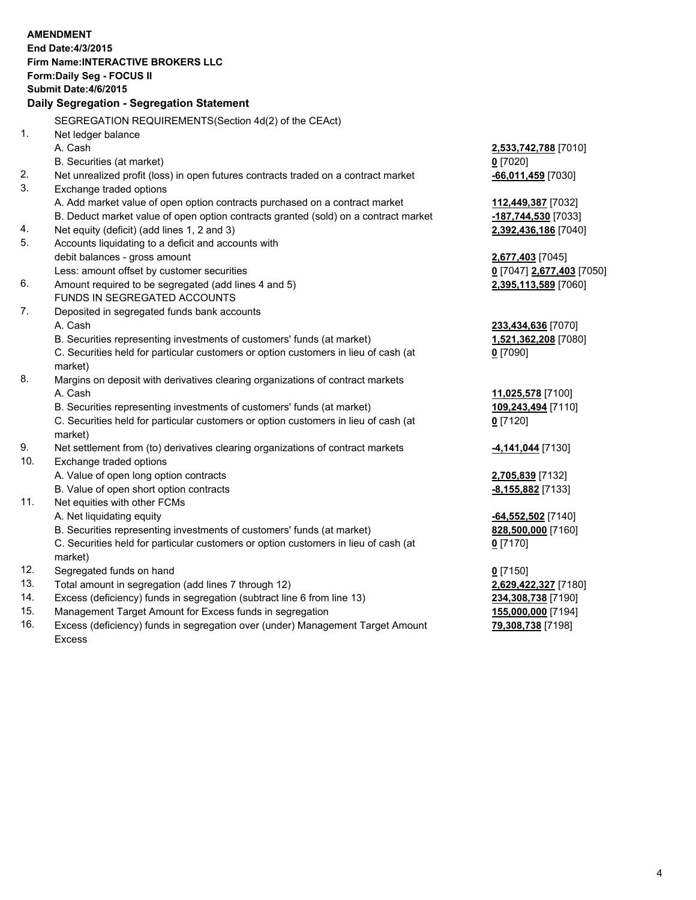|     | <b>AMENDMENT</b>                                                                               |                           |
|-----|------------------------------------------------------------------------------------------------|---------------------------|
|     | End Date: 4/3/2015                                                                             |                           |
|     | Firm Name: INTERACTIVE BROKERS LLC                                                             |                           |
|     | Form: Daily Seg - FOCUS II                                                                     |                           |
|     | <b>Submit Date: 4/6/2015</b>                                                                   |                           |
|     | Daily Segregation - Segregation Statement                                                      |                           |
|     | SEGREGATION REQUIREMENTS(Section 4d(2) of the CEAct)                                           |                           |
| 1.  | Net ledger balance                                                                             |                           |
|     | A. Cash                                                                                        | 2,533,742,788 [7010]      |
|     | B. Securities (at market)                                                                      | $0$ [7020]                |
| 2.  | Net unrealized profit (loss) in open futures contracts traded on a contract market             | $-66,011,459$ [7030]      |
| 3.  | Exchange traded options                                                                        |                           |
|     | A. Add market value of open option contracts purchased on a contract market                    | 112,449,387 [7032]        |
|     | B. Deduct market value of open option contracts granted (sold) on a contract market            | -187,744,530 [7033]       |
| 4.  | Net equity (deficit) (add lines 1, 2 and 3)                                                    | 2,392,436,186 [7040]      |
| 5.  | Accounts liquidating to a deficit and accounts with                                            |                           |
|     | debit balances - gross amount                                                                  | 2,677,403 [7045]          |
|     | Less: amount offset by customer securities                                                     | 0 [7047] 2,677,403 [7050] |
| 6.  | Amount required to be segregated (add lines 4 and 5)                                           | 2,395,113,589 [7060]      |
|     | FUNDS IN SEGREGATED ACCOUNTS                                                                   |                           |
| 7.  | Deposited in segregated funds bank accounts                                                    |                           |
|     | A. Cash                                                                                        | 233,434,636 [7070]        |
|     | B. Securities representing investments of customers' funds (at market)                         | 1,521,362,208 [7080]      |
|     | C. Securities held for particular customers or option customers in lieu of cash (at            | $0$ [7090]                |
|     | market)                                                                                        |                           |
| 8.  | Margins on deposit with derivatives clearing organizations of contract markets                 |                           |
|     | A. Cash                                                                                        | 11,025,578 [7100]         |
|     | B. Securities representing investments of customers' funds (at market)                         | 109,243,494 [7110]        |
|     | C. Securities held for particular customers or option customers in lieu of cash (at<br>market) | $0$ [7120]                |
| 9.  | Net settlement from (to) derivatives clearing organizations of contract markets                | -4,141,044 [7130]         |
| 10. | Exchange traded options                                                                        |                           |
|     | A. Value of open long option contracts                                                         | 2,705,839 [7132]          |
|     | B. Value of open short option contracts                                                        | -8,155,882 [7133]         |
| 11. | Net equities with other FCMs                                                                   |                           |
|     | A. Net liquidating equity                                                                      | -64,552,502 [7140]        |
|     | B. Securities representing investments of customers' funds (at market)                         | 828,500,000 [7160]        |
|     | C. Securities held for particular customers or option customers in lieu of cash (at            | $0$ [7170]                |
|     | market)                                                                                        |                           |
| 12. | Segregated funds on hand                                                                       | $0$ [7150]                |
| 13. | Total amount in segregation (add lines 7 through 12)                                           | 2,629,422,327 [7180]      |
| 14. | Excess (deficiency) funds in segregation (subtract line 6 from line 13)                        | 234,308,738 [7190]        |
| 15. | Management Target Amount for Excess funds in segregation                                       | 155,000,000 [7194]        |
| 16. | Excess (deficiency) funds in segregation over (under) Management Target Amount                 | 79,308,738 [7198]         |

Excess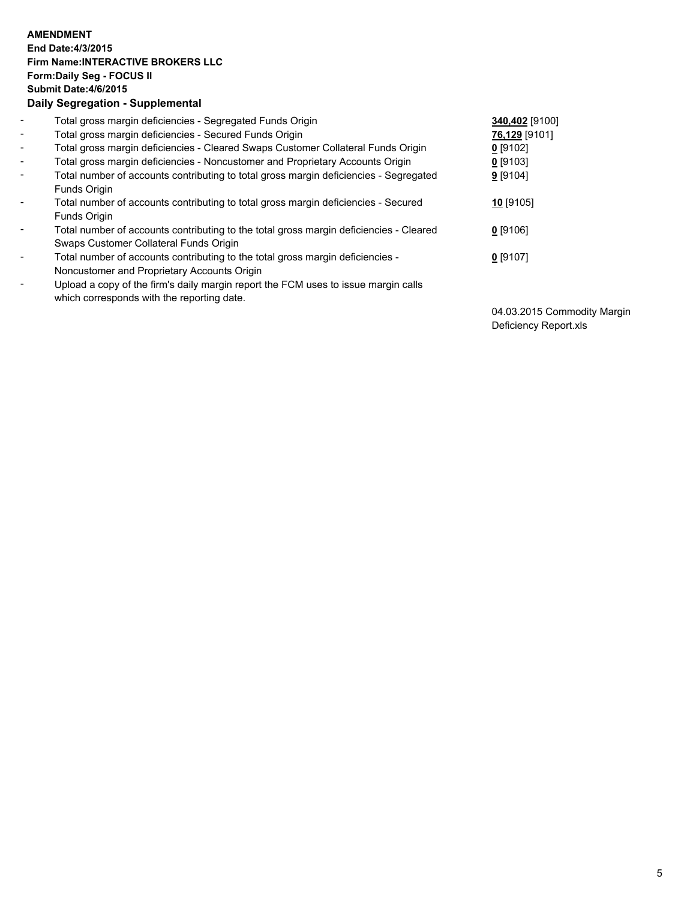## **AMENDMENT End Date:4/3/2015 Firm Name:INTERACTIVE BROKERS LLC Form:Daily Seg - FOCUS II Submit Date:4/6/2015 Daily Segregation - Supplemental**

| $\blacksquare$           | Total gross margin deficiencies - Segregated Funds Origin                              | 340,402 [9100] |
|--------------------------|----------------------------------------------------------------------------------------|----------------|
| $\blacksquare$           | Total gross margin deficiencies - Secured Funds Origin                                 | 76,129 [9101]  |
| $\blacksquare$           | Total gross margin deficiencies - Cleared Swaps Customer Collateral Funds Origin       | $0$ [9102]     |
| $\blacksquare$           | Total gross margin deficiencies - Noncustomer and Proprietary Accounts Origin          | $0$ [9103]     |
| $\blacksquare$           | Total number of accounts contributing to total gross margin deficiencies - Segregated  | 9[9104]        |
|                          | Funds Origin                                                                           |                |
| Ξ.                       | Total number of accounts contributing to total gross margin deficiencies - Secured     | 10 [9105]      |
|                          | Funds Origin                                                                           |                |
| Ξ.                       | Total number of accounts contributing to the total gross margin deficiencies - Cleared | $0$ [9106]     |
|                          | Swaps Customer Collateral Funds Origin                                                 |                |
| $\overline{\phantom{a}}$ | Total number of accounts contributing to the total gross margin deficiencies -         | $0$ [9107]     |
|                          | Noncustomer and Proprietary Accounts Origin                                            |                |
| $\overline{\phantom{a}}$ | Upload a copy of the firm's daily margin report the FCM uses to issue margin calls     |                |
|                          | which corresponds with the reporting date.                                             |                |

04.03.2015 Commodity Margin Deficiency Report.xls